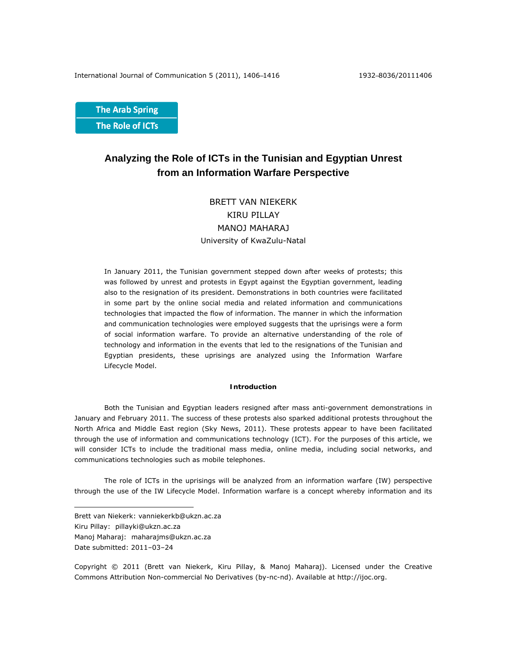**The Arab Spring** The Role of ICTs

# **Analyzing the Role of ICTs in the Tunisian and Egyptian Unrest from an Information Warfare Perspective**

# BRETT VAN NIEKERK KIRU PILLAY MANOJ MAHARAJ University of KwaZulu-Natal

In January 2011, the Tunisian government stepped down after weeks of protests; this was followed by unrest and protests in Egypt against the Egyptian government, leading also to the resignation of its president. Demonstrations in both countries were facilitated in some part by the online social media and related information and communications technologies that impacted the flow of information. The manner in which the information and communication technologies were employed suggests that the uprisings were a form of social information warfare. To provide an alternative understanding of the role of technology and information in the events that led to the resignations of the Tunisian and Egyptian presidents, these uprisings are analyzed using the Information Warfare Lifecycle Model.

# **Introduction**

Both the Tunisian and Egyptian leaders resigned after mass anti-government demonstrations in January and February 2011. The success of these protests also sparked additional protests throughout the North Africa and Middle East region (Sky News, 2011). These protests appear to have been facilitated through the use of information and communications technology (ICT). For the purposes of this article, we will consider ICTs to include the traditional mass media, online media, including social networks, and communications technologies such as mobile telephones.

The role of ICTs in the uprisings will be analyzed from an information warfare (IW) perspective through the use of the IW Lifecycle Model. Information warfare is a concept whereby information and its

 $\overline{a}$ 

Copyright © 2011 (Brett van Niekerk, Kiru Pillay, & Manoj Maharaj). Licensed under the Creative Commons Attribution Non-commercial No Derivatives (by-nc-nd). Available at http://ijoc.org.

Brett van Niekerk: vanniekerkb@ukzn.ac.za

Kiru Pillay: pillayki@ukzn.ac.za

Manoj Maharaj: maharajms@ukzn.ac.za

Date submitted: 2011–03–24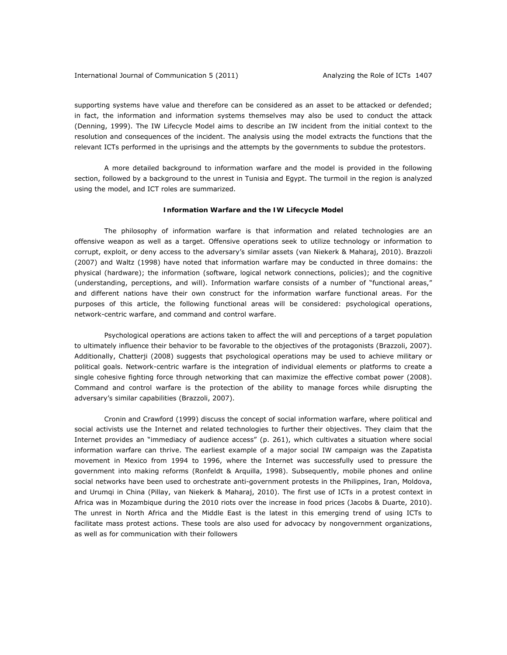supporting systems have value and therefore can be considered as an asset to be attacked or defended; in fact, the information and information systems themselves may also be used to conduct the attack (Denning, 1999). The IW Lifecycle Model aims to describe an IW incident from the initial context to the resolution and consequences of the incident. The analysis using the model extracts the functions that the relevant ICTs performed in the uprisings and the attempts by the governments to subdue the protestors.

A more detailed background to information warfare and the model is provided in the following section, followed by a background to the unrest in Tunisia and Egypt. The turmoil in the region is analyzed using the model, and ICT roles are summarized.

## **Information Warfare and the IW Lifecycle Model**

The philosophy of information warfare is that information and related technologies are an offensive weapon as well as a target. Offensive operations seek to utilize technology or information to corrupt, exploit, or deny access to the adversary's similar assets (van Niekerk & Maharaj, 2010). Brazzoli (2007) and Waltz (1998) have noted that information warfare may be conducted in three domains: the physical (hardware); the information (software, logical network connections, policies); and the cognitive (understanding, perceptions, and will). Information warfare consists of a number of "functional areas," and different nations have their own construct for the information warfare functional areas. For the purposes of this article, the following functional areas will be considered: psychological operations, network-centric warfare, and command and control warfare.

Psychological operations are actions taken to affect the will and perceptions of a target population to ultimately influence their behavior to be favorable to the objectives of the protagonists (Brazzoli, 2007). Additionally, Chatterji (2008) suggests that psychological operations may be used to achieve military or political goals. Network-centric warfare is the integration of individual elements or platforms to create a single cohesive fighting force through networking that can maximize the effective combat power (2008). Command and control warfare is the protection of the ability to manage forces while disrupting the adversary's similar capabilities (Brazzoli, 2007).

Cronin and Crawford (1999) discuss the concept of social information warfare, where political and social activists use the Internet and related technologies to further their objectives. They claim that the Internet provides an "immediacy of audience access" (p. 261), which cultivates a situation where social information warfare can thrive. The earliest example of a major social IW campaign was the Zapatista movement in Mexico from 1994 to 1996, where the Internet was successfully used to pressure the government into making reforms (Ronfeldt & Arquilla, 1998). Subsequently, mobile phones and online social networks have been used to orchestrate anti-government protests in the Philippines, Iran, Moldova, and Urumqi in China (Pillay, van Niekerk & Maharaj, 2010). The first use of ICTs in a protest context in Africa was in Mozambique during the 2010 riots over the increase in food prices (Jacobs & Duarte, 2010). The unrest in North Africa and the Middle East is the latest in this emerging trend of using ICTs to facilitate mass protest actions. These tools are also used for advocacy by nongovernment organizations, as well as for communication with their followers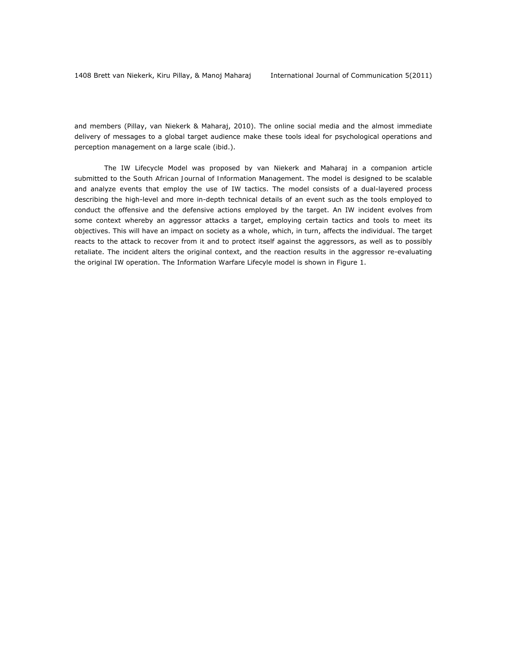and members (Pillay, van Niekerk & Maharaj, 2010). The online social media and the almost immediate delivery of messages to a global target audience make these tools ideal for psychological operations and perception management on a large scale (ibid.).

The IW Lifecycle Model was proposed by van Niekerk and Maharaj in a companion article submitted to the *South African Journal of Information Management*. The model is designed to be scalable and analyze events that employ the use of IW tactics. The model consists of a dual-layered process describing the high-level and more in-depth technical details of an event such as the tools employed to conduct the offensive and the defensive actions employed by the target. An IW incident evolves from some context whereby an aggressor attacks a target, employing certain tactics and tools to meet its objectives. This will have an impact on society as a whole, which, in turn, affects the individual. The target reacts to the attack to recover from it and to protect itself against the aggressors, as well as to possibly retaliate. The incident alters the original context, and the reaction results in the aggressor re-evaluating the original IW operation. The Information Warfare Lifecyle model is shown in Figure 1.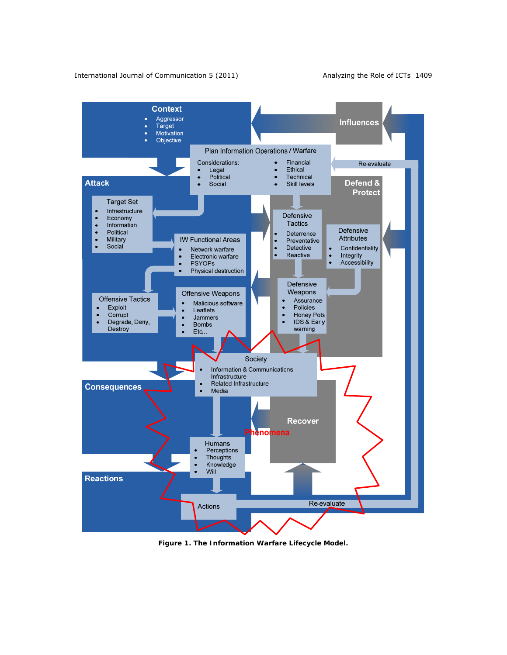

*Figure 1. The Information Warfare Lifecycle Model.*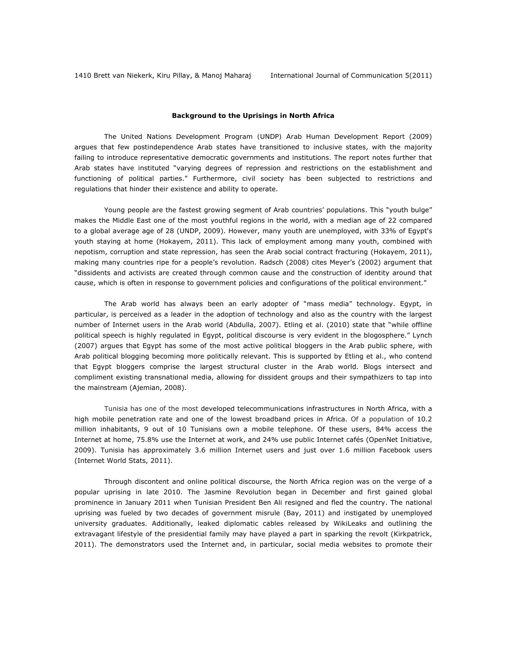### **Background to the Uprisings in North Africa**

*The United Nations Development Program (UNDP) Arab Human Development Report* (2009) argues that few postindependence Arab states have transitioned to inclusive states, with the majority failing to introduce representative democratic governments and institutions. The report notes further that Arab states have instituted "varying degrees of repression and restrictions on the establishment and functioning of political parties." Furthermore, civil society has been subjected to restrictions and regulations that hinder their existence and ability to operate.

Young people are the fastest growing segment of Arab countries' populations. This "youth bulge" makes the Middle East one of the most youthful regions in the world, with a median age of 22 compared to a global average age of 28 (UNDP, 2009). However, many youth are unemployed, with 33% of Egypt's youth staying at home (Hokayem, 2011). This lack of employment among many youth, combined with nepotism, corruption and state repression, has seen the Arab social contract fracturing (Hokayem, 2011), making many countries ripe for a people's revolution. Radsch (2008) cites Meyer's (2002) argument that "dissidents and activists are created through common cause and the construction of identity around that cause, which is often in response to government policies and configurations of the political environment."

The Arab world has always been an early adopter of "mass media" technology. Egypt, in particular, is perceived as a leader in the adoption of technology and also as the country with the largest number of Internet users in the Arab world (Abdulla, 2007). Etling et al. (2010) state that "while offline political speech is highly regulated in Egypt, political discourse is very evident in the blogosphere." Lynch (2007) argues that Egypt has some of the most active political bloggers in the Arab public sphere, with Arab political blogging becoming more politically relevant. This is supported by Etling et al., who contend that Egypt bloggers comprise the largest structural cluster in the Arab world. Blogs intersect and compliment existing transnational media, allowing for dissident groups and their sympathizers to tap into the mainstream (Ajemian, 2008).

Tunisia has one of the most developed telecommunications infrastructures in North Africa, with a high mobile penetration rate and one of the lowest broadband prices in Africa. Of a population of 10.2 million inhabitants, 9 out of 10 Tunisians own a mobile telephone. Of these users, 84% access the Internet at home, 75.8% use the Internet at work, and 24% use public Internet cafés (OpenNet Initiative, 2009). Tunisia has approximately 3.6 million Internet users and just over 1.6 million Facebook users (Internet World Stats, 2011).

Through discontent and online political discourse, the North Africa region was on the verge of a popular uprising in late 2010. The Jasmine Revolution began in December and first gained global prominence in January 2011 when Tunisian President Ben Ali resigned and fled the country. The national uprising was fueled by two decades of government misrule (Bay, 2011) and instigated by unemployed university graduates. Additionally, leaked diplomatic cables released by WikiLeaks and outlining the extravagant lifestyle of the presidential family may have played a part in sparking the revolt (Kirkpatrick, 2011). The demonstrators used the Internet and, in particular, social media websites to promote their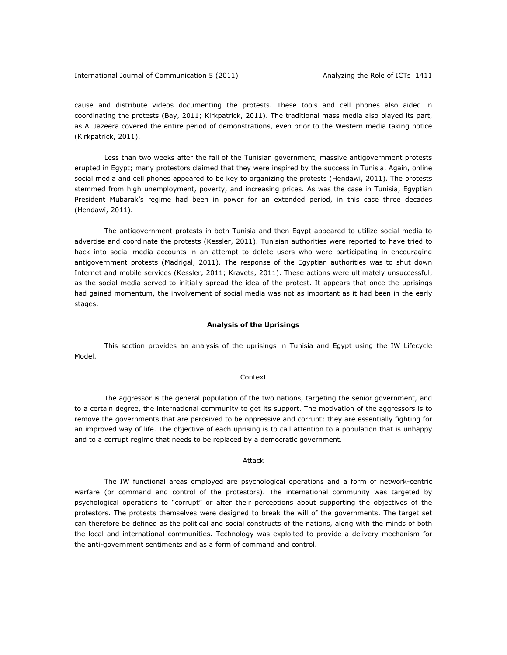cause and distribute videos documenting the protests. These tools and cell phones also aided in coordinating the protests (Bay, 2011; Kirkpatrick, 2011). The traditional mass media also played its part, as Al Jazeera covered the entire period of demonstrations, even prior to the Western media taking notice (Kirkpatrick, 2011).

Less than two weeks after the fall of the Tunisian government, massive antigovernment protests erupted in Egypt; many protestors claimed that they were inspired by the success in Tunisia. Again, online social media and cell phones appeared to be key to organizing the protests (Hendawi, 2011). The protests stemmed from high unemployment, poverty, and increasing prices. As was the case in Tunisia, Egyptian President Mubarak's regime had been in power for an extended period, in this case three decades (Hendawi, 2011).

The antigovernment protests in both Tunisia and then Egypt appeared to utilize social media to advertise and coordinate the protests (Kessler, 2011). Tunisian authorities were reported to have tried to hack into social media accounts in an attempt to delete users who were participating in encouraging antigovernment protests (Madrigal, 2011). The response of the Egyptian authorities was to shut down Internet and mobile services (Kessler, 2011; Kravets, 2011). These actions were ultimately unsuccessful, as the social media served to initially spread the idea of the protest. It appears that once the uprisings had gained momentum, the involvement of social media was not as important as it had been in the early stages.

### **Analysis of the Uprisings**

This section provides an analysis of the uprisings in Tunisia and Egypt using the IW Lifecycle Model.

#### *Context*

The aggressor is the general population of the two nations, targeting the senior government, and to a certain degree, the international community to get its support. The motivation of the aggressors is to remove the governments that are perceived to be oppressive and corrupt; they are essentially fighting for an improved way of life. The objective of each uprising is to call attention to a population that is unhappy and to a corrupt regime that needs to be replaced by a democratic government.

#### *Attack*

The IW functional areas employed are psychological operations and a form of network-centric warfare (or command and control of the protestors). The international community was targeted by psychological operations to "corrupt" or alter their perceptions about supporting the objectives of the protestors. The protests themselves were designed to break the will of the governments. The target set can therefore be defined as the political and social constructs of the nations, along with the minds of both the local and international communities. Technology was exploited to provide a delivery mechanism for the anti-government sentiments and as a form of command and control.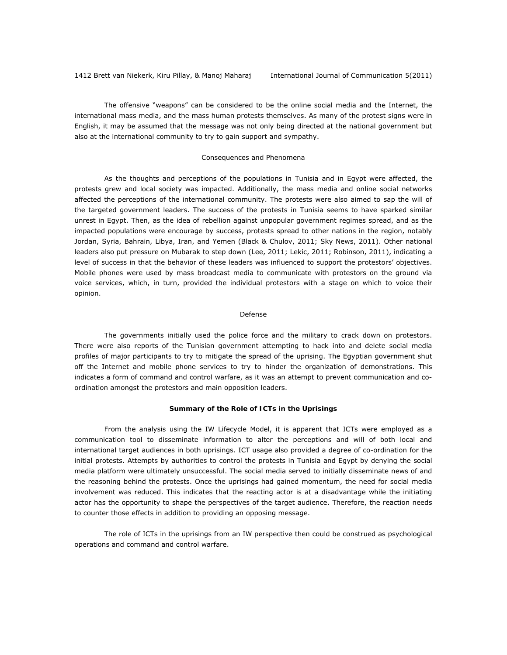The offensive "weapons" can be considered to be the online social media and the Internet, the international mass media, and the mass human protests themselves. As many of the protest signs were in English, it may be assumed that the message was not only being directed at the national government but also at the international community to try to gain support and sympathy.

## *Consequences and Phenomena*

As the thoughts and perceptions of the populations in Tunisia and in Egypt were affected, the protests grew and local society was impacted. Additionally, the mass media and online social networks affected the perceptions of the international community. The protests were also aimed to sap the will of the targeted government leaders. The success of the protests in Tunisia seems to have sparked similar unrest in Egypt. Then, as the idea of rebellion against unpopular government regimes spread, and as the impacted populations were encourage by success, protests spread to other nations in the region, notably Jordan, Syria, Bahrain, Libya, Iran, and Yemen (Black & Chulov, 2011; Sky News, 2011). Other national leaders also put pressure on Mubarak to step down (Lee, 2011; Lekic, 2011; Robinson, 2011), indicating a level of success in that the behavior of these leaders was influenced to support the protestors' objectives. Mobile phones were used by mass broadcast media to communicate with protestors on the ground via voice services, which, in turn, provided the individual protestors with a stage on which to voice their opinion.

#### *Defense*

The governments initially used the police force and the military to crack down on protestors. There were also reports of the Tunisian government attempting to hack into and delete social media profiles of major participants to try to mitigate the spread of the uprising. The Egyptian government shut off the Internet and mobile phone services to try to hinder the organization of demonstrations. This indicates a form of command and control warfare, as it was an attempt to prevent communication and coordination amongst the protestors and main opposition leaders.

## **Summary of the Role of ICTs in the Uprisings**

From the analysis using the IW Lifecycle Model, it is apparent that ICTs were employed as a communication tool to disseminate information to alter the perceptions and will of both local and international target audiences in both uprisings. ICT usage also provided a degree of co-ordination for the initial protests. Attempts by authorities to control the protests in Tunisia and Egypt by denying the social media platform were ultimately unsuccessful. The social media served to initially disseminate news of and the reasoning behind the protests. Once the uprisings had gained momentum, the need for social media involvement was reduced. This indicates that the reacting actor is at a disadvantage while the initiating actor has the opportunity to shape the perspectives of the target audience. Therefore, the reaction needs to counter those effects in addition to providing an opposing message.

The role of ICTs in the uprisings from an IW perspective then could be construed as psychological operations and command and control warfare.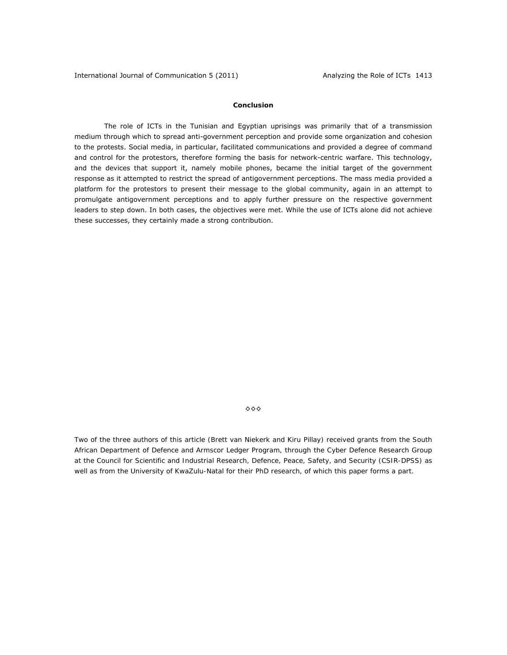## **Conclusion**

The role of ICTs in the Tunisian and Egyptian uprisings was primarily that of a transmission medium through which to spread anti-government perception and provide some organization and cohesion to the protests. Social media, in particular, facilitated communications and provided a degree of command and control for the protestors, therefore forming the basis for network-centric warfare. This technology, and the devices that support it, namely mobile phones, became the initial target of the government response as it attempted to restrict the spread of antigovernment perceptions. The mass media provided a platform for the protestors to present their message to the global community, again in an attempt to promulgate antigovernment perceptions and to apply further pressure on the respective government leaders to step down. In both cases, the objectives were met. While the use of ICTs alone did not achieve these successes, they certainly made a strong contribution.

 $\diamond \diamond \diamond$ 

*Two of the three authors of this article (Brett van Niekerk and Kiru Pillay) received grants from the South African Department of Defence and Armscor Ledger Program, through the Cyber Defence Research Group at the Council for Scientific and Industrial Research, Defence, Peace, Safety, and Security (CSIR-DPSS) as*  well as from the University of KwaZulu-Natal for their PhD research, of which this paper forms a part.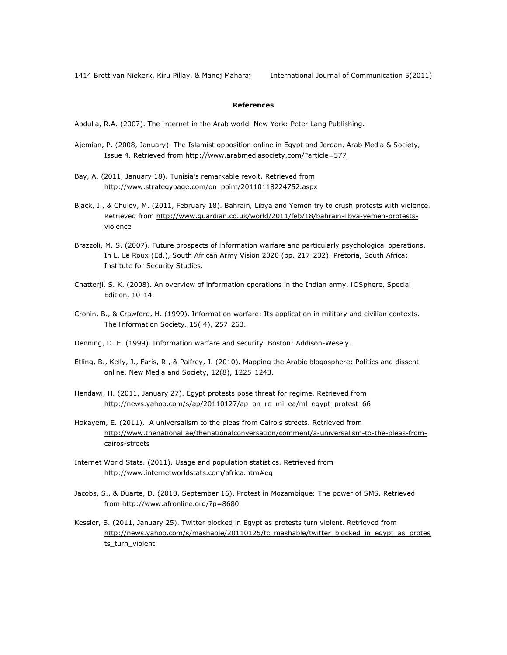1414 Brett van Niekerk, Kiru Pillay, & Manoj Maharaj International Journal of Communication 5(2011)

## **References**

Abdulla, R.A. (2007). *The Internet in the Arab world.* New York: Peter Lang Publishing.

- Ajemian, P. (2008, January). The Islamist opposition online in Egypt and Jordan. *Arab Media & Society,*  Issue 4*.* Retrieved from http://www.arabmediasociety.com/?article=577
- Bay, A. (2011, January 18). *Tunisia's remarkable revolt*. Retrieved from http://www.strategypage.com/on\_point/20110118224752.aspx
- Black, I., & Chulov, M. (2011, February 18). *Bahrain, Libya and Yemen try to crush protests with violence.* Retrieved from http://www.guardian.co.uk/world/2011/feb/18/bahrain-libya-yemen-protestsviolence
- Brazzoli, M. S. (2007). Future prospects of information warfare and particularly psychological operations. In L. Le Roux (Ed.), *South African Army Vision 2020* (pp. 217–232). Pretoria, South Africa: Institute for Security Studies.
- Chatterji, S. K. (2008). An overview of information operations in the Indian army. *IOSphere, Special Edition*, 10–14.
- Cronin, B., & Crawford, H. (1999). Information warfare: Its application in military and civilian contexts. *The Information Society, 15*( 4), 257–263.
- Denning, D. E. (1999). *Information warfare and security.* Boston: Addison-Wesely.
- Etling, B., Kelly, J., Faris, R., & Palfrey, J. (2010). Mapping the Arabic blogosphere: Politics and dissent online. *New Media and Society*, *12*(8), 1225–1243.
- Hendawi, H. (2011, January 27). *Egypt protests pose threat for regime*. Retrieved from http://news.yahoo.com/s/ap/20110127/ap\_on\_re\_mi\_ea/ml\_egypt\_protest\_66
- Hokayem, E. (2011). A universalism to the pleas from Cairo's streets. Retrieved from http://www.thenational.ae/thenationalconversation/comment/a-universalism-to-the-pleas-fromcairos-streets
- Internet World Stats. (2011). Usage and population statistics. Retrieved from http://www.internetworldstats.com/africa.htm#eg
- Jacobs, S., & Duarte, D. (2010, September 16). *Protest in Mozambique: The power of SMS*. Retrieved from http://www.afronline.org/?p=8680
- Kessler, S. (2011, January 25). *Twitter blocked in Egypt as protests turn violent.* Retrieved from http://news.yahoo.com/s/mashable/20110125/tc\_mashable/twitter\_blocked\_in\_egypt\_as\_protes ts\_turn\_violent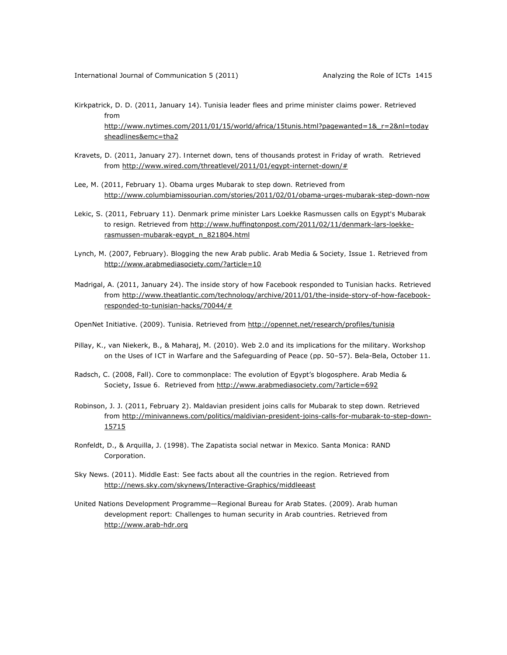- Kirkpatrick, D. D. (2011, January 14). *Tunisia leader flees and prime minister claims power*. Retrieved from http://www.nytimes.com/2011/01/15/world/africa/15tunis.html?pagewanted=1& r=2&nl=today sheadlines&emc=tha2
- Kravets, D. (2011, January 27). *Internet down, tens of thousands protest in Friday of wrath.* Retrieved from http://www.wired.com/threatlevel/2011/01/egypt-internet-down/#
- Lee, M. (2011, February 1). *Obama urges Mubarak to step down.* Retrieved from http://www.columbiamissourian.com/stories/2011/02/01/obama-urges-mubarak-step-down-now
- Lekic, S. (2011, February 11). *Denmark prime minister Lars Loekke Rasmussen calls on Egypt's Mubarak to resign.* Retrieved from http://www.huffingtonpost.com/2011/02/11/denmark-lars-loekkerasmussen-mubarak-egypt\_n\_821804.html
- Lynch, M. (2007, February). Blogging the new Arab public. *Arab Media & Society,* Issue 1. Retrieved from http://www.arabmediasociety.com/?article=10
- Madrigal, A. (2011, January 24). *The inside story of how Facebook responded to Tunisian hacks.* Retrieved from http://www.theatlantic.com/technology/archive/2011/01/the-inside-story-of-how-facebookresponded-to-tunisian-hacks/70044/#

OpenNet Initiative. (2009). Tunisia. Retrieved from http://opennet.net/research/profiles/tunisia

- Pillay, K., van Niekerk, B., & Maharaj, M. (2010). Web 2.0 and its implications for the military. *Workshop on the Uses of ICT in Warfare and the Safeguarding of Peace* (pp. 50–57). Bela-Bela, October 11.
- Radsch, C. (2008, Fall). Core to commonplace: The evolution of Egypt's blogosphere. *Arab Media & Society*, Issue 6. Retrieved from http://www.arabmediasociety.com/?article=692
- Robinson, J. J. (2011, February 2). *Maldavian president joins calls for Mubarak to step down.* Retrieved from http://minivannews.com/politics/maldivian-president-joins-calls-for-mubarak-to-step-down-15715
- Ronfeldt, D., & Arquilla, J. (1998). *The Zapatista social netwar in Mexico.* Santa Monica: RAND Corporation.
- Sky News. (2011). *Middle East: See facts about all the countries in the region.* Retrieved from http://news.sky.com/skynews/Interactive-Graphics/middleeast
- United Nations Development Programme—Regional Bureau for Arab States. (2009). *Arab human development report: Challenges to human security in Arab countries*. Retrieved from http://www.arab-hdr.org